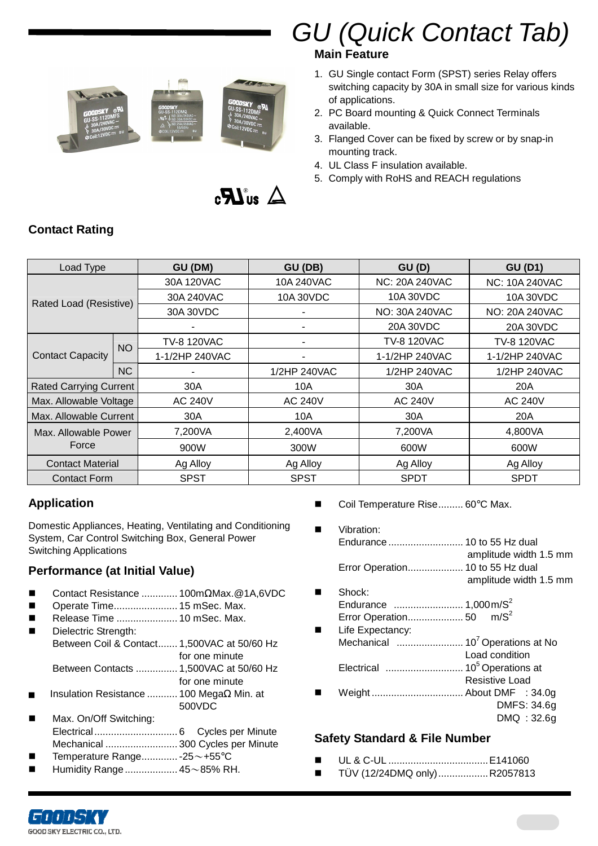

# GU (Quick Contact Tab)

#### **Main Feature**

- 1. GU Single contact Form (SPST) series Relay offers switching capacity by 30A in small size for various kinds of applications.
- 2. PC Board mounting & Quick Connect Terminals available.
- 3. Flanged Cover can be fixed by screw or by snap-in mounting track.
- 4. UL Class F insulation available.
- 5. Comply with RoHS and REACH regulations





| Load Type                     |            | GU (DM)            | GU (DB)        | GU(D)          | <b>GU (D1)</b>        |  |
|-------------------------------|------------|--------------------|----------------|----------------|-----------------------|--|
|                               |            | 30A 120VAC         | 10A 240VAC     | NC: 20A 240VAC | <b>NC: 10A 240VAC</b> |  |
| Rated Load (Resistive)        | 30A 240VAC | 10A 30VDC          | 10A 30VDC      | 10A 30VDC      |                       |  |
|                               |            | 30A 30VDC          |                | NO: 30A 240VAC | NO: 20A 240VAC        |  |
|                               |            |                    |                | 20A 30VDC      | 20A 30VDC             |  |
|                               |            | <b>TV-8 120VAC</b> |                | TV-8 120VAC    | TV-8 120VAC           |  |
| <b>Contact Capacity</b>       | <b>NO</b>  | 1-1/2HP 240VAC     |                | 1-1/2HP 240VAC | 1-1/2HP 240VAC        |  |
|                               | <b>NC</b>  |                    | 1/2HP 240VAC   | 1/2HP 240VAC   | 1/2HP 240VAC          |  |
| <b>Rated Carrying Current</b> |            | 30A                | 10A            | 30A            | 20A                   |  |
| Max. Allowable Voltage        |            | <b>AC 240V</b>     | <b>AC 240V</b> | <b>AC 240V</b> | <b>AC 240V</b>        |  |
| Max. Allowable Current        |            | 30A                | 10A            | 30A            | 20A                   |  |
| Max. Allowable Power<br>Force |            | 7,200VA            | 2,400VA        | 7,200VA        | 4,800VA               |  |
|                               |            | 900W               | 300W           | 600W           | 600W                  |  |
| <b>Contact Material</b>       |            | Ag Alloy           | Ag Alloy       | Ag Alloy       | Ag Alloy              |  |
| <b>Contact Form</b>           |            | <b>SPST</b>        | <b>SPST</b>    | <b>SPDT</b>    | <b>SPDT</b>           |  |

# **Contact Rating**

#### **Application**

Domestic Appliances, Heating, Ventilating and Conditioning System, Car Control Switching Box, General Power Switching Applications

#### **Performance (at Initial Value)**

- Contact Resistance ............. 100mΩMax.@1A,6VDC
- Operate Time....................... 15 mSec. Max.
- Release Time ...................... 10 mSec. Max.
- Dielectric Strength: Between Coil & Contact....... 1,500VAC at 50/60 Hz for one minute Between Contacts ............... 1,500VAC at 50/60 Hz
- for one minute
- Insulation Resistance ........... 100 MegaΩ Min. at 500VDC
- Max. On/Off Switching: Electrical.............................. 6 Cycles per Minute Mechanical .......................... 300 Cycles per Minute
- Temperature Range............. 25~+55°C
- Humidity Range................... 45~85% RH.
- Coil Temperature Rise......... 60°C Max.
- Vibration: Endurance ........................... 10 to 55 Hz dual amplitude width 1.5 mm Error Operation.................... 10 to 55 Hz dual amplitude width 1.5 mm
- Shock: Endurance ......................... 1,000 m/S<sup>2</sup> Error Operation.................... 50 m/S<sup>2</sup>
- **Life Expectancy:** Mechanical ........................ 10<sup>7</sup>Operations at No Load condition Electrical ............................ 10<sup>5</sup>Operations at Resistive Load Weight ................................. About DMF : 34.0g DMFS: 34.6 g

#### DMQ : 32.6g

#### **Safety Standard & File Number**

- UL & C-UL ....................................E141060
- TÜV (12/24DMQ only)..................R2057813

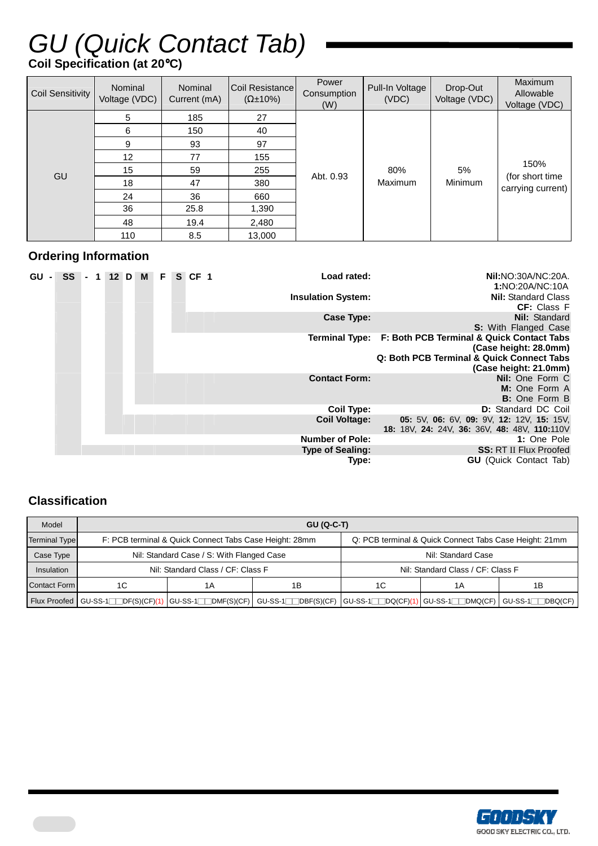# GU (Quick Contact Tab)

## **Coil Specification (at 20**°**C)**

| <b>Coil Sensitivity</b> | Nominal<br>Voltage (VDC) | Nominal<br>Current (mA) | Coil Resistance<br>$(\Omega \pm 10\%)$ | Power<br>Consumption<br>(W) | Pull-In Voltage<br>(VDC) | Drop-Out<br>Voltage (VDC) | Maximum<br>Allowable<br>Voltage (VDC)         |
|-------------------------|--------------------------|-------------------------|----------------------------------------|-----------------------------|--------------------------|---------------------------|-----------------------------------------------|
|                         | 5                        | 185                     | 27                                     |                             |                          |                           |                                               |
|                         | 6                        | 150                     | 40                                     |                             | 80%<br>Maximum           | 5%<br>Minimum             | 150%<br>(for short time)<br>carrying current) |
| GU                      | 9                        | 93                      | 97                                     |                             |                          |                           |                                               |
|                         | 12 <sup>°</sup>          | 77                      | 155                                    |                             |                          |                           |                                               |
|                         | 15                       | 59                      | 255                                    | Abt. 0.93                   |                          |                           |                                               |
|                         | 18                       | 47                      | 380                                    |                             |                          |                           |                                               |
|                         | 24                       | 36                      | 660                                    |                             |                          |                           |                                               |
|                         | 36                       | 25.8                    | 1,390                                  |                             |                          |                           |                                               |
|                         | 48                       | 19.4                    | 2,480                                  |                             |                          |                           |                                               |
|                         | 110                      | 8.5                     | 13,000                                 |                             |                          |                           |                                               |

#### **Ordering Information**

| <b>GU</b><br>$\blacksquare$ | <b>SS</b> |  | 12 D M | F I | $S$ CF 1 | Load rated:               | <b>Nil:</b> NO: 30A/NC: 20A.                             |
|-----------------------------|-----------|--|--------|-----|----------|---------------------------|----------------------------------------------------------|
|                             |           |  |        |     |          |                           | 1:NO:20A/NC:10A                                          |
|                             |           |  |        |     |          | <b>Insulation System:</b> | <b>Nil: Standard Class</b>                               |
|                             |           |  |        |     |          |                           | <b>CF:</b> Class F                                       |
|                             |           |  |        |     |          |                           | Nil: Standard                                            |
|                             |           |  |        |     |          | Case Type:                |                                                          |
|                             |           |  |        |     |          |                           | <b>S:</b> With Flanged Case                              |
|                             |           |  |        |     |          |                           | Terminal Type: F: Both PCB Terminal & Quick Contact Tabs |
|                             |           |  |        |     |          |                           | (Case height: 28.0mm)                                    |
|                             |           |  |        |     |          |                           | Q: Both PCB Terminal & Quick Connect Tabs                |
|                             |           |  |        |     |          |                           | (Case height: 21.0mm)                                    |
|                             |           |  |        |     |          | <b>Contact Form:</b>      | Nil: One Form C                                          |
|                             |           |  |        |     |          |                           | M: One Form A                                            |
|                             |           |  |        |     |          |                           | <b>B:</b> One Form B                                     |
|                             |           |  |        |     |          | <b>Coil Type:</b>         | <b>D:</b> Standard DC Coil                               |
|                             |           |  |        |     |          | <b>Coil Voltage:</b>      | 05: 5V, 06: 6V, 09: 9V, 12: 12V, 15: 15V,                |
|                             |           |  |        |     |          |                           | 18: 18V, 24: 24V, 36: 36V, 48: 48V, 110:110V             |
|                             |           |  |        |     |          | <b>Number of Pole:</b>    | 1: One Pole                                              |
|                             |           |  |        |     |          | <b>Type of Sealing:</b>   | <b>SS: RT II Flux Proofed</b>                            |
|                             |           |  |        |     |          |                           |                                                          |
|                             |           |  |        |     |          | Type:                     | <b>GU</b> (Quick Contact Tab)                            |

### **Classification**

| Model                | $GU (Q-C-T)$                                                                                                                                           |                                                        |    |                                                        |                                   |                   |  |  |  |  |  |  |
|----------------------|--------------------------------------------------------------------------------------------------------------------------------------------------------|--------------------------------------------------------|----|--------------------------------------------------------|-----------------------------------|-------------------|--|--|--|--|--|--|
| <b>Terminal Type</b> |                                                                                                                                                        | F: PCB terminal & Quick Connect Tabs Case Height: 28mm |    | Q: PCB terminal & Quick Connect Tabs Case Height: 21mm |                                   |                   |  |  |  |  |  |  |
| Case Type            | Nil: Standard Case / S: With Flanged Case                                                                                                              | Nil: Standard Case                                     |    |                                                        |                                   |                   |  |  |  |  |  |  |
| Insulation           |                                                                                                                                                        | Nil: Standard Class / CF: Class F                      |    |                                                        | Nil: Standard Class / CF: Class F |                   |  |  |  |  |  |  |
| <b>Contact Form</b>  | 1C                                                                                                                                                     | 1A                                                     | 1Β | 1C                                                     | 1 A                               | 1B                |  |  |  |  |  |  |
|                      | Flux Proofed   GU-SS-1 $\Box$ DF(S)(CF)(1)   GU-SS-1 $\Box$ DMF(S)(CF)   GU-SS-1 $\Box$ DBF(S)(CF)   GU-SS-1 $\Box$ DQ(CF)(1)   GU-SS-1 $\Box$ DMQ(CF) |                                                        |    |                                                        |                                   | $GU-SS-1$ DBQ(CF) |  |  |  |  |  |  |